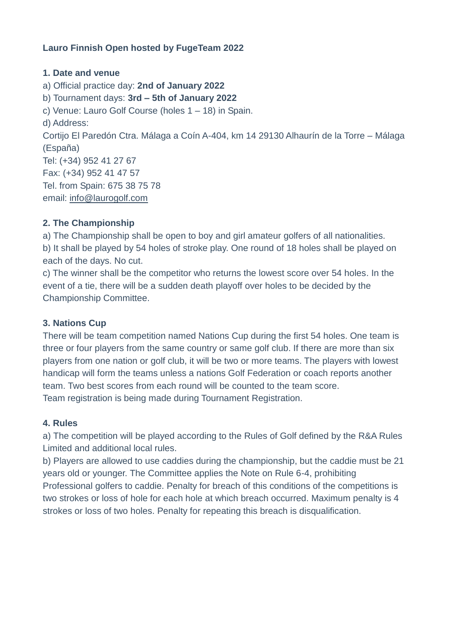#### **Lauro Finnish Open hosted by FugeTeam 2022**

#### **1. Date and venue**

a) Official practice day: **2nd of January 2022** b) Tournament days: **3rd – 5th of January 2022** c) Venue: Lauro Golf Course (holes 1 – 18) in Spain. d) Address: Cortijo El Paredón Ctra. Málaga a Coín A-404, km 14 29130 Alhaurín de la Torre – Málaga (España) Tel: (+34) 952 41 27 67 Fax: (+34) 952 41 47 57 Tel. from Spain: 675 38 75 78 email: [info@laurogolf.com](mailto:info@laurogolf.com)

#### **2. The Championship**

a) The Championship shall be open to boy and girl amateur golfers of all nationalities. b) It shall be played by 54 holes of stroke play. One round of 18 holes shall be played on each of the days. No cut.

c) The winner shall be the competitor who returns the lowest score over 54 holes. In the event of a tie, there will be a sudden death playoff over holes to be decided by the Championship Committee.

#### **3. Nations Cup**

There will be team competition named Nations Cup during the first 54 holes. One team is three or four players from the same country or same golf club. If there are more than six players from one nation or golf club, it will be two or more teams. The players with lowest handicap will form the teams unless a nations Golf Federation or coach reports another team. Two best scores from each round will be counted to the team score. Team registration is being made during Tournament Registration.

#### **4. Rules**

a) The competition will be played according to the Rules of Golf defined by the R&A Rules Limited and additional local rules.

b) Players are allowed to use caddies during the championship, but the caddie must be 21 years old or younger. The Committee applies the Note on Rule 6-4, prohibiting

Professional golfers to caddie. Penalty for breach of this conditions of the competitions is two strokes or loss of hole for each hole at which breach occurred. Maximum penalty is 4 strokes or loss of two holes. Penalty for repeating this breach is disqualification.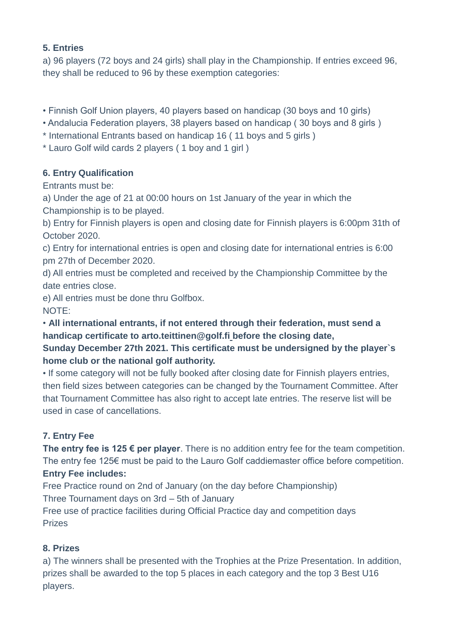#### **5. Entries**

a) 96 players (72 boys and 24 girls) shall play in the Championship. If entries exceed 96, they shall be reduced to 96 by these exemption categories:

- Finnish Golf Union players, 40 players based on handicap (30 boys and 10 girls)
- Andalucia Federation players, 38 players based on handicap ( 30 boys and 8 girls )
- \* International Entrants based on handicap 16 ( 11 boys and 5 girls )
- \* Lauro Golf wild cards 2 players ( 1 boy and 1 girl )

## **6. Entry Qualification**

Entrants must be:

a) Under the age of 21 at 00:00 hours on 1st January of the year in which the

Championship is to be played.

b) Entry for Finnish players is open and closing date for Finnish players is 6:00pm 31th of October 2020.

c) Entry for international entries is open and closing date for international entries is 6:00 pm 27th of December 2020.

d) All entries must be completed and received by the Championship Committee by the date entries close.

e) All entries must be done thru Golfbox. NOTE:

## • **All international entrants, if not entered through their federation, must send a handicap certificate to arto.teittinen@golf.fi before the closing date,**

# **Sunday December 27th 2021. This certificate must be undersigned by the player`s home club or the national golf authority.**

• If some category will not be fully booked after closing date for Finnish players entries, then field sizes between categories can be changed by the Tournament Committee. After that Tournament Committee has also right to accept late entries. The reserve list will be used in case of cancellations.

# **7. Entry Fee**

**The entry fee is 125 € per player**. There is no addition entry fee for the team competition. The entry fee 125€ must be paid to the Lauro Golf caddiemaster office before competition.

## **Entry Fee includes:**

Free Practice round on 2nd of January (on the day before Championship) Three Tournament days on 3rd – 5th of January Free use of practice facilities during Official Practice day and competition days

#### Prizes

## **8. Prizes**

a) The winners shall be presented with the Trophies at the Prize Presentation. In addition, prizes shall be awarded to the top 5 places in each category and the top 3 Best U16 players.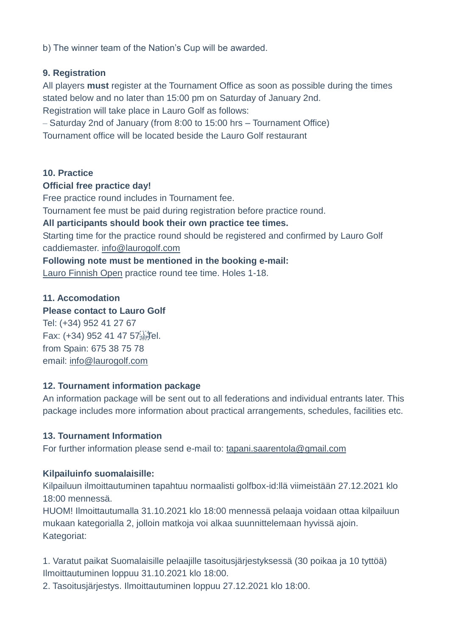b) The winner team of the Nation's Cup will be awarded.

#### **9. Registration**

All players **must** register at the Tournament Office as soon as possible during the times stated below and no later than 15:00 pm on Saturday of January 2nd. Registration will take place in Lauro Golf as follows:

– Saturday 2nd of January (from 8:00 to 15:00 hrs – Tournament Office)

Tournament office will be located beside the Lauro Golf restaurant

#### **10. Practice**

#### **Official free practice day!**

Free practice round includes in Tournament fee.

Tournament fee must be paid during registration before practice round.

**All participants should book their own practice tee times.**

Starting time for the practice round should be registered and confirmed by Lauro Golf caddiemaster. [info@laurogolf.com](mailto:info@laurogolf.com)

**Following note must be mentioned in the booking e-mail:**

Lauro Finnish Open practice round tee time. Holes 1-18.

#### **11. Accomodation**

#### **Please contact to Lauro Golf**

Tel: (+34) 952 41 27 67 Fax: (+34) 952 41 47 57<sup>[17</sup><sub>5EP</sub>Tel. from Spain: 675 38 75 78 email: [info@laurogolf.com](mailto:info@laurogolf.com)

## **12. Tournament information package**

An information package will be sent out to all federations and individual entrants later. This package includes more information about practical arrangements, schedules, facilities etc.

## **13. Tournament Information**

For further information please send e-mail to: [tapani.saarentola@gmail.com](mailto:tapani.saarentola@gmail.com)

## **Kilpailuinfo suomalaisille:**

Kilpailuun ilmoittautuminen tapahtuu normaalisti golfbox-id:llä viimeistään 27.12.2021 klo 18:00 mennessä.

HUOM! Ilmoittautumalla 31.10.2021 klo 18:00 mennessä pelaaja voidaan ottaa kilpailuun mukaan kategorialla 2, jolloin matkoja voi alkaa suunnittelemaan hyvissä ajoin. Kategoriat:

1. Varatut paikat Suomalaisille pelaajille tasoitusjärjestyksessä (30 poikaa ja 10 tyttöä) Ilmoittautuminen loppuu 31.10.2021 klo 18:00.

2. Tasoitusjärjestys. Ilmoittautuminen loppuu 27.12.2021 klo 18:00.